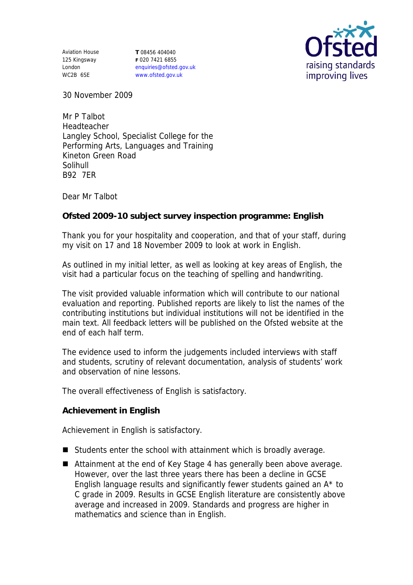Aviation House 125 Kingsway London WC2B 6SE

**T** 08456 404040 **F** 020 7421 6855 enquiries@ofsted.gov.uk www.ofsted.gov.uk



30 November 2009

Mr P Talbot Headteacher Langley School, Specialist College for the Performing Arts, Languages and Training Kineton Green Road Solihull B92 7ER

Dear Mr Talbot

**Ofsted 2009-10 subject survey inspection programme: English**

Thank you for your hospitality and cooperation, and that of your staff, during my visit on 17 and 18 November 2009 to look at work in English.

As outlined in my initial letter, as well as looking at key areas of English, the visit had a particular focus on the teaching of spelling and handwriting.

The visit provided valuable information which will contribute to our national evaluation and reporting. Published reports are likely to list the names of the contributing institutions but individual institutions will not be identified in the main text. All feedback letters will be published on the Ofsted website at the end of each half term.

The evidence used to inform the judgements included interviews with staff and students, scrutiny of relevant documentation, analysis of students' work and observation of nine lessons.

The overall effectiveness of English is satisfactory.

**Achievement in English**

Achievement in English is satisfactory.

- Students enter the school with attainment which is broadly average.
- Attainment at the end of Key Stage 4 has generally been above average. However, over the last three years there has been a decline in GCSE English language results and significantly fewer students gained an A\* to C grade in 2009. Results in GCSE English literature are consistently above average and increased in 2009. Standards and progress are higher in mathematics and science than in English.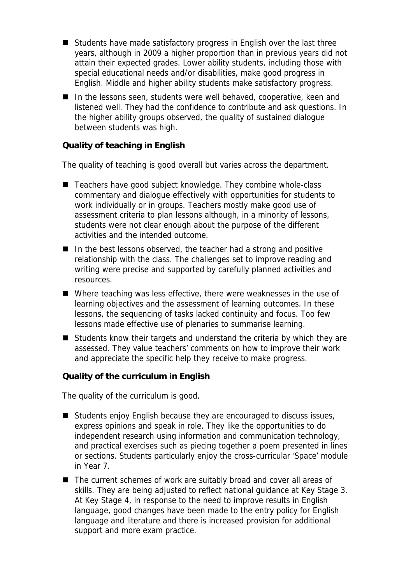- Students have made satisfactory progress in English over the last three years, although in 2009 a higher proportion than in previous years did not attain their expected grades. Lower ability students, including those with special educational needs and/or disabilities, make good progress in English. Middle and higher ability students make satisfactory progress.
- In the lessons seen, students were well behaved, cooperative, keen and listened well. They had the confidence to contribute and ask questions. In the higher ability groups observed, the quality of sustained dialogue between students was high.

## **Quality of teaching in English**

The quality of teaching is good overall but varies across the department.

- Teachers have good subject knowledge. They combine whole-class commentary and dialogue effectively with opportunities for students to work individually or in groups. Teachers mostly make good use of assessment criteria to plan lessons although, in a minority of lessons, students were not clear enough about the purpose of the different activities and the intended outcome.
- In the best lessons observed, the teacher had a strong and positive relationship with the class. The challenges set to improve reading and writing were precise and supported by carefully planned activities and resources.
- Where teaching was less effective, there were weaknesses in the use of learning objectives and the assessment of learning outcomes. In these lessons, the sequencing of tasks lacked continuity and focus. Too few lessons made effective use of plenaries to summarise learning.
- Students know their targets and understand the criteria by which they are assessed. They value teachers' comments on how to improve their work and appreciate the specific help they receive to make progress.

**Quality of the curriculum in English**

The quality of the curriculum is good.

- Students enjoy English because they are encouraged to discuss issues, express opinions and speak in role. They like the opportunities to do independent research using information and communication technology, and practical exercises such as piecing together a poem presented in lines or sections. Students particularly enjoy the cross-curricular 'Space' module in Year 7.
- The current schemes of work are suitably broad and cover all areas of skills. They are being adjusted to reflect national guidance at Key Stage 3. At Key Stage 4, in response to the need to improve results in English language, good changes have been made to the entry policy for English language and literature and there is increased provision for additional support and more exam practice.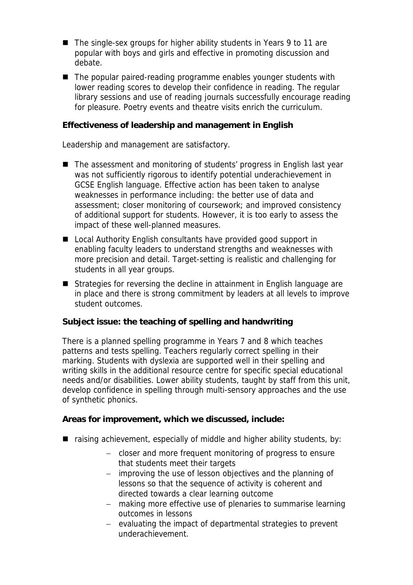- The single-sex groups for higher ability students in Years 9 to 11 are popular with boys and girls and effective in promoting discussion and debate.
- The popular paired-reading programme enables younger students with lower reading scores to develop their confidence in reading. The regular library sessions and use of reading journals successfully encourage reading for pleasure. Poetry events and theatre visits enrich the curriculum.

**Effectiveness of leadership and management in English**

Leadership and management are satisfactory.

- The assessment and monitoring of students' progress in English last year was not sufficiently rigorous to identify potential underachievement in GCSE English language. Effective action has been taken to analyse weaknesses in performance including: the better use of data and assessment; closer monitoring of coursework; and improved consistency of additional support for students. However, it is too early to assess the impact of these well-planned measures.
- Local Authority English consultants have provided good support in enabling faculty leaders to understand strengths and weaknesses with more precision and detail. Target-setting is realistic and challenging for students in all year groups.
- Strategies for reversing the decline in attainment in English language are in place and there is strong commitment by leaders at all levels to improve student outcomes.

**Subject issue: the teaching of spelling and handwriting**

There is a planned spelling programme in Years 7 and 8 which teaches patterns and tests spelling. Teachers regularly correct spelling in their marking. Students with dyslexia are supported well in their spelling and writing skills in the additional resource centre for specific special educational needs and/or disabilities. Lower ability students, taught by staff from this unit, develop confidence in spelling through multi-sensory approaches and the use of synthetic phonics.

**Areas for improvement, which we discussed, include:**

- raising achievement, especially of middle and higher ability students, by:
	- closer and more frequent monitoring of progress to ensure that students meet their targets
	- improving the use of lesson objectives and the planning of lessons so that the sequence of activity is coherent and directed towards a clear learning outcome
	- making more effective use of plenaries to summarise learning outcomes in lessons
	- evaluating the impact of departmental strategies to prevent underachievement.